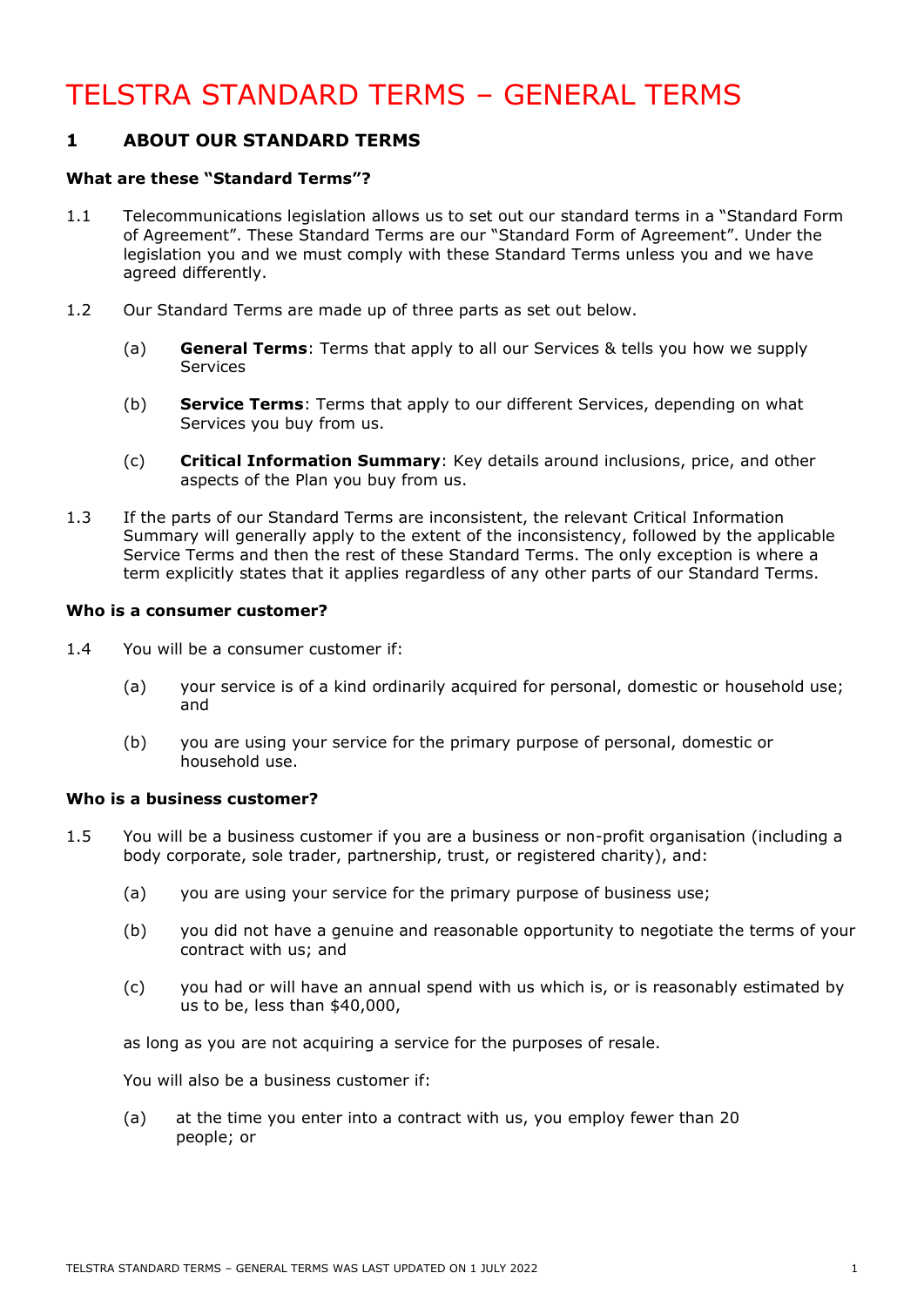# TELSTRA STANDARD TERMS – GENERAL TERMS

### **1 ABOUT OUR STANDARD TERMS**

### **What are these "Standard Terms"?**

- 1.1 Telecommunications legislation allows us to set out our standard terms in a "Standard Form of Agreement". These Standard Terms are our "Standard Form of Agreement". Under the legislation you and we must comply with these Standard Terms unless you and we have agreed differently.
- 1.2 Our Standard Terms are made up of three parts as set out below.
	- (a) **General Terms**: Terms that apply to all our Services & tells you how we supply **Services**
	- (b) **Service Terms**: Terms that apply to our different Services, depending on what Services you buy from us.
	- (c) **Critical Information Summary**: Key details around inclusions, price, and other aspects of the Plan you buy from us.
- 1.3 If the parts of our Standard Terms are inconsistent, the relevant Critical Information Summary will generally apply to the extent of the inconsistency, followed by the applicable Service Terms and then the rest of these Standard Terms. The only exception is where a term explicitly states that it applies regardless of any other parts of our Standard Terms.

### **Who is a consumer customer?**

- 1.4 You will be a consumer customer if:
	- (a) your service is of a kind ordinarily acquired for personal, domestic or household use; and
	- (b) you are using your service for the primary purpose of personal, domestic or household use.

### **Who is a business customer?**

- <span id="page-0-0"></span>1.5 You will be a business customer if you are a business or non-profit organisation (including a body corporate, sole trader, partnership, trust, or registered charity), and:
	- (a) you are using your service for the primary purpose of business use;
	- (b) you did not have a genuine and reasonable opportunity to negotiate the terms of your contract with us; and
	- (c) you had or will have an annual spend with us which is, or is reasonably estimated by us to be, less than \$40,000,

as long as you are not acquiring a service for the purposes of resale.

You will also be a business customer if:

(a) at the time you enter into a contract with us, you employ fewer than 20 people; or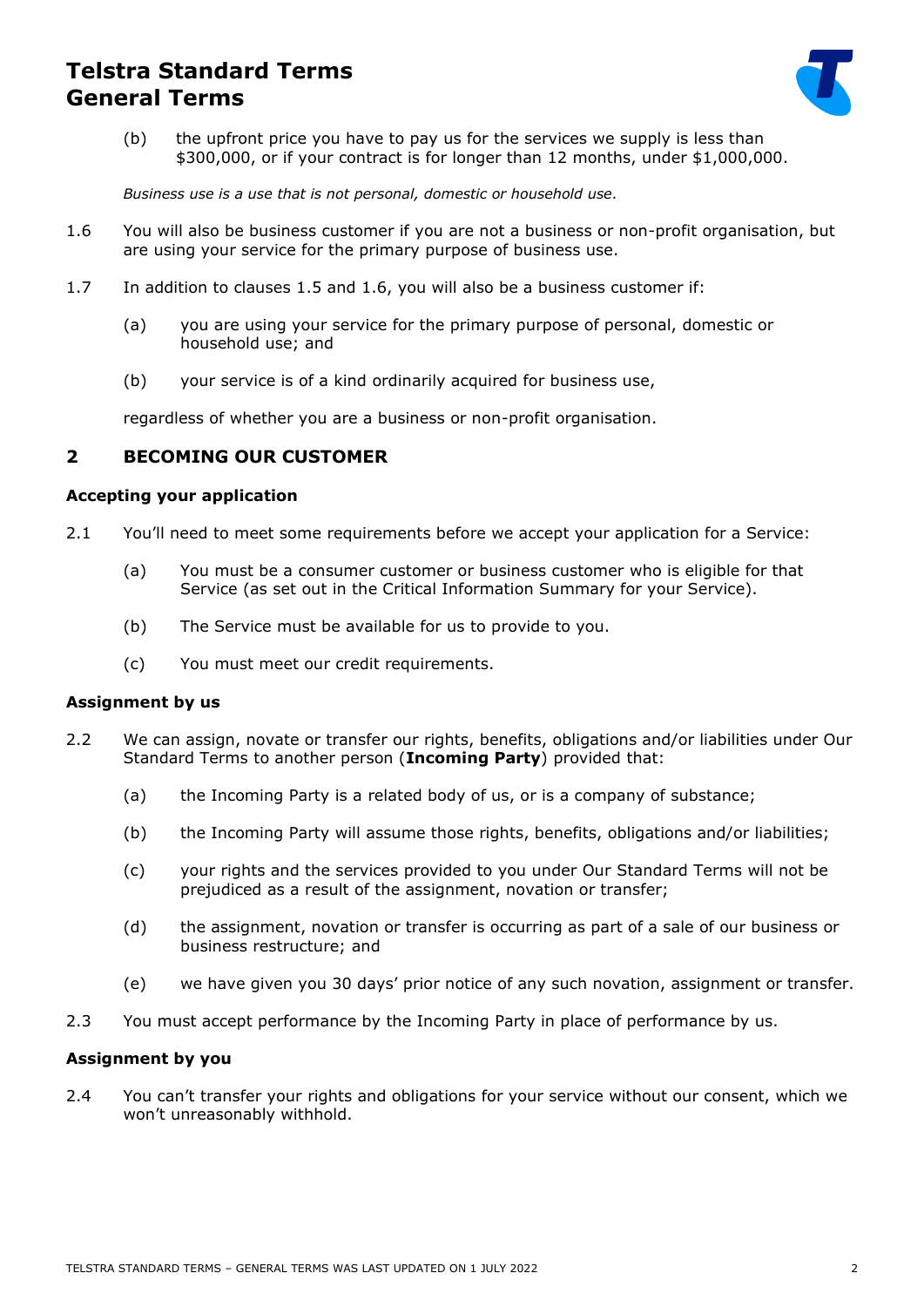

(b) the upfront price you have to pay us for the services we supply is less than \$300,000, or if your contract is for longer than 12 months, under \$1,000,000.

*Business use is a use that is not personal, domestic or household use.*

- <span id="page-1-0"></span>1.6 You will also be business customer if you are not a business or non-profit organisation, but are using your service for the primary purpose of business use.
- 1.7 In addition to clauses [1.5](#page-0-0) and [1.6,](#page-1-0) you will also be a business customer if:
	- (a) you are using your service for the primary purpose of personal, domestic or household use; and
	- (b) your service is of a kind ordinarily acquired for business use,

regardless of whether you are a business or non-profit organisation.

### **2 BECOMING OUR CUSTOMER**

#### **Accepting your application**

- 2.1 You'll need to meet some requirements before we accept your application for a Service:
	- (a) You must be a consumer customer or business customer who is eligible for that Service (as set out in the Critical Information Summary for your Service).
	- (b) The Service must be available for us to provide to you.
	- (c) You must meet our credit requirements.

### **Assignment by us**

- 2.2 We can assign, novate or transfer our rights, benefits, obligations and/or liabilities under Our Standard Terms to another person (**Incoming Party**) provided that:
	- (a) the Incoming Party is a related body of us, or is a company of substance;
	- (b) the Incoming Party will assume those rights, benefits, obligations and/or liabilities;
	- (c) your rights and the services provided to you under Our Standard Terms will not be prejudiced as a result of the assignment, novation or transfer;
	- (d) the assignment, novation or transfer is occurring as part of a sale of our business or business restructure; and
	- (e) we have given you 30 days' prior notice of any such novation, assignment or transfer.
- 2.3 You must accept performance by the Incoming Party in place of performance by us.

### **Assignment by you**

2.4 You can't transfer your rights and obligations for your service without our consent, which we won't unreasonably withhold.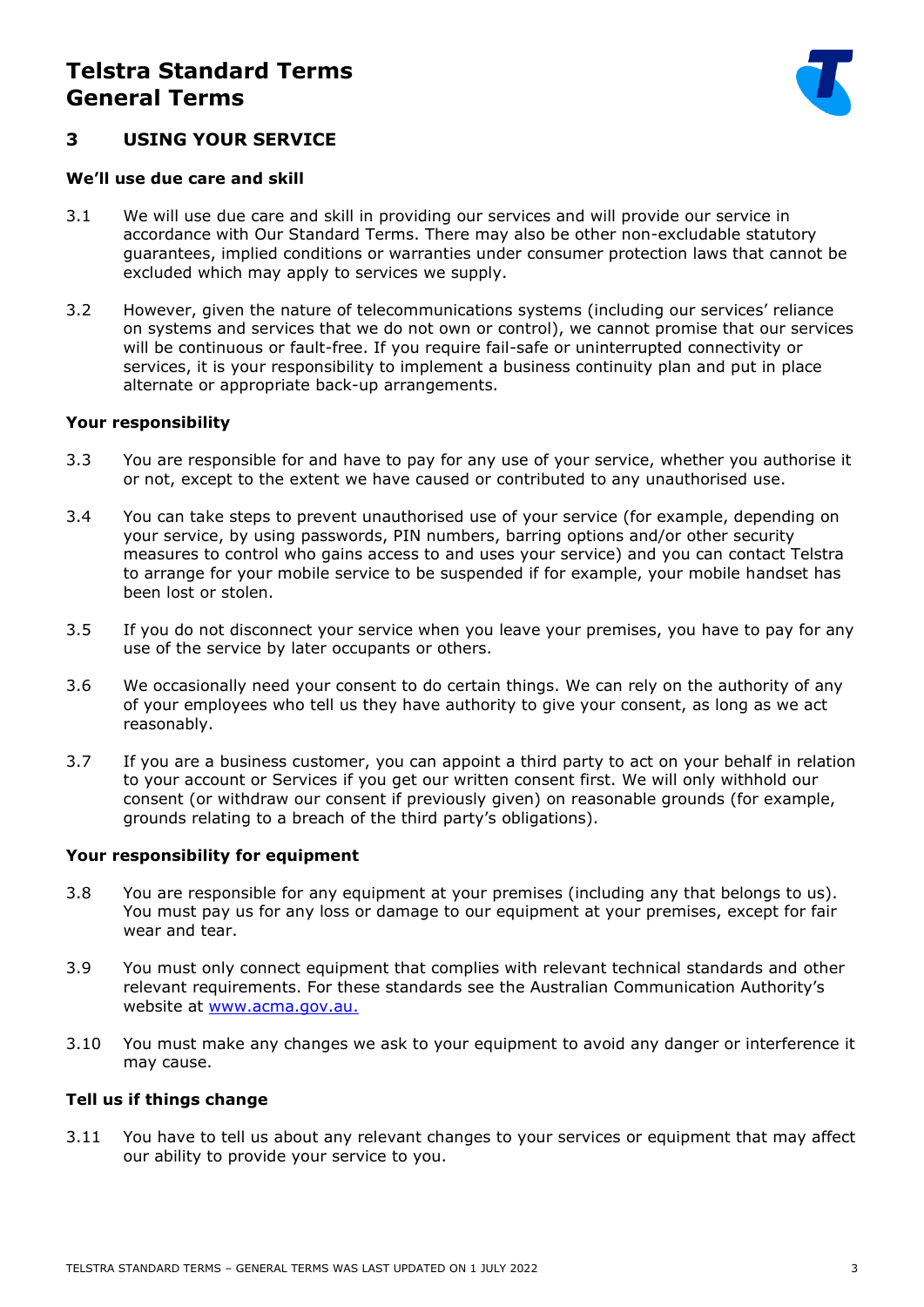

### **3 USING YOUR SERVICE**

#### **We'll use due care and skill**

- 3.1 We will use due care and skill in providing our services and will provide our service in accordance with Our Standard Terms. There may also be other non-excludable statutory guarantees, implied conditions or warranties under consumer protection laws that cannot be excluded which may apply to services we supply.
- 3.2 However, given the nature of telecommunications systems (including our services' reliance on systems and services that we do not own or control), we cannot promise that our services will be continuous or fault-free. If you require fail-safe or uninterrupted connectivity or services, it is your responsibility to implement a business continuity plan and put in place alternate or appropriate back-up arrangements.

### **Your responsibility**

- 3.3 You are responsible for and have to pay for any use of your service, whether you authorise it or not, except to the extent we have caused or contributed to any unauthorised use.
- 3.4 You can take steps to prevent unauthorised use of your service (for example, depending on your service, by using passwords, PIN numbers, barring options and/or other security measures to control who gains access to and uses your service) and you can contact Telstra to arrange for your mobile service to be suspended if for example, your mobile handset has been lost or stolen.
- 3.5 If you do not disconnect your service when you leave your premises, you have to pay for any use of the service by later occupants or others.
- 3.6 We occasionally need your consent to do certain things. We can rely on the authority of any of your employees who tell us they have authority to give your consent, as long as we act reasonably.
- 3.7 If you are a business customer, you can appoint a third party to act on your behalf in relation to your account or Services if you get our written consent first. We will only withhold our consent (or withdraw our consent if previously given) on reasonable grounds (for example, grounds relating to a breach of the third party's obligations).

### **Your responsibility for equipment**

- 3.8 You are responsible for any equipment at your premises (including any that belongs to us). You must pay us for any loss or damage to our equipment at your premises, except for fair wear and tear.
- 3.9 You must only connect equipment that complies with relevant technical standards and other relevant requirements. For these standards see the Australian Communication Authority's website at [www.acma.gov.au.](http://www.acma.gov.au/)
- 3.10 You must make any changes we ask to your equipment to avoid any danger or interference it may cause.

### **Tell us if things change**

3.11 You have to tell us about any relevant changes to your services or equipment that may affect our ability to provide your service to you.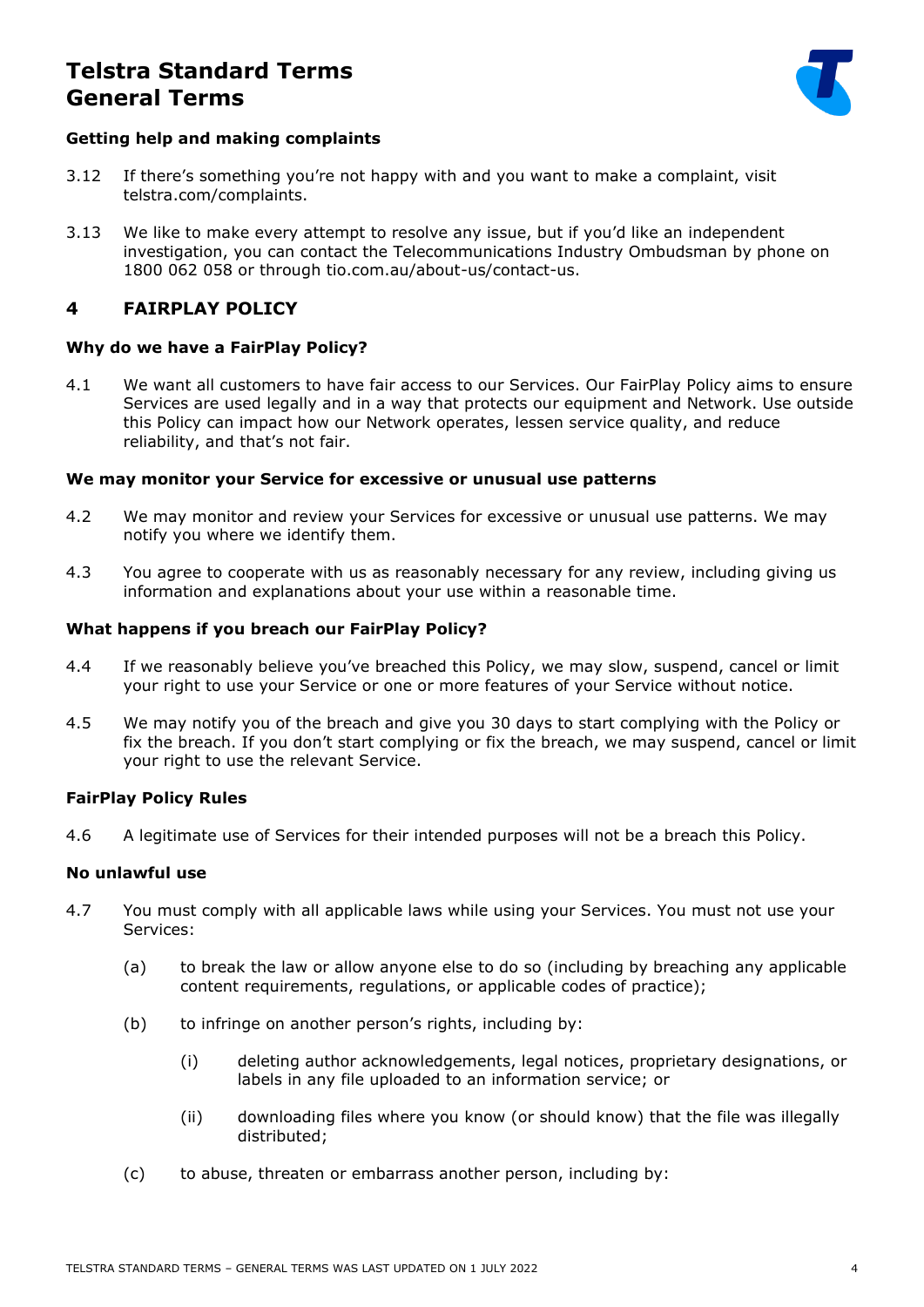

### **Getting help and making complaints**

- 3.12 If there's something you're not happy with and you want to make a complaint, visit telstra.com/complaints.
- 3.13 We like to make every attempt to resolve any issue, but if you'd like an independent investigation, you can contact the Telecommunications Industry Ombudsman by phone on 1800 062 058 or through tio.com.au/about-us/contact-us.

### **4 FAIRPLAY POLICY**

### **Why do we have a FairPlay Policy?**

4.1 We want all customers to have fair access to our Services. Our FairPlay Policy aims to ensure Services are used legally and in a way that protects our equipment and Network. Use outside this Policy can impact how our Network operates, lessen service quality, and reduce reliability, and that's not fair.

### **We may monitor your Service for excessive or unusual use patterns**

- 4.2 We may monitor and review your Services for excessive or unusual use patterns. We may notify you where we identify them.
- 4.3 You agree to cooperate with us as reasonably necessary for any review, including giving us information and explanations about your use within a reasonable time.

### **What happens if you breach our FairPlay Policy?**

- 4.4 If we reasonably believe you've breached this Policy, we may slow, suspend, cancel or limit your right to use your Service or one or more features of your Service without notice.
- 4.5 We may notify you of the breach and give you 30 days to start complying with the Policy or fix the breach. If you don't start complying or fix the breach, we may suspend, cancel or limit your right to use the relevant Service.

### **FairPlay Policy Rules**

4.6 A legitimate use of Services for their intended purposes will not be a breach this Policy.

### **No unlawful use**

- 4.7 You must comply with all applicable laws while using your Services. You must not use your Services:
	- (a) to break the law or allow anyone else to do so (including by breaching any applicable content requirements, regulations, or applicable codes of practice);
	- (b) to infringe on another person's rights, including by:
		- (i) deleting author acknowledgements, legal notices, proprietary designations, or labels in any file uploaded to an information service; or
		- (ii) downloading files where you know (or should know) that the file was illegally distributed;
	- (c) to abuse, threaten or embarrass another person, including by: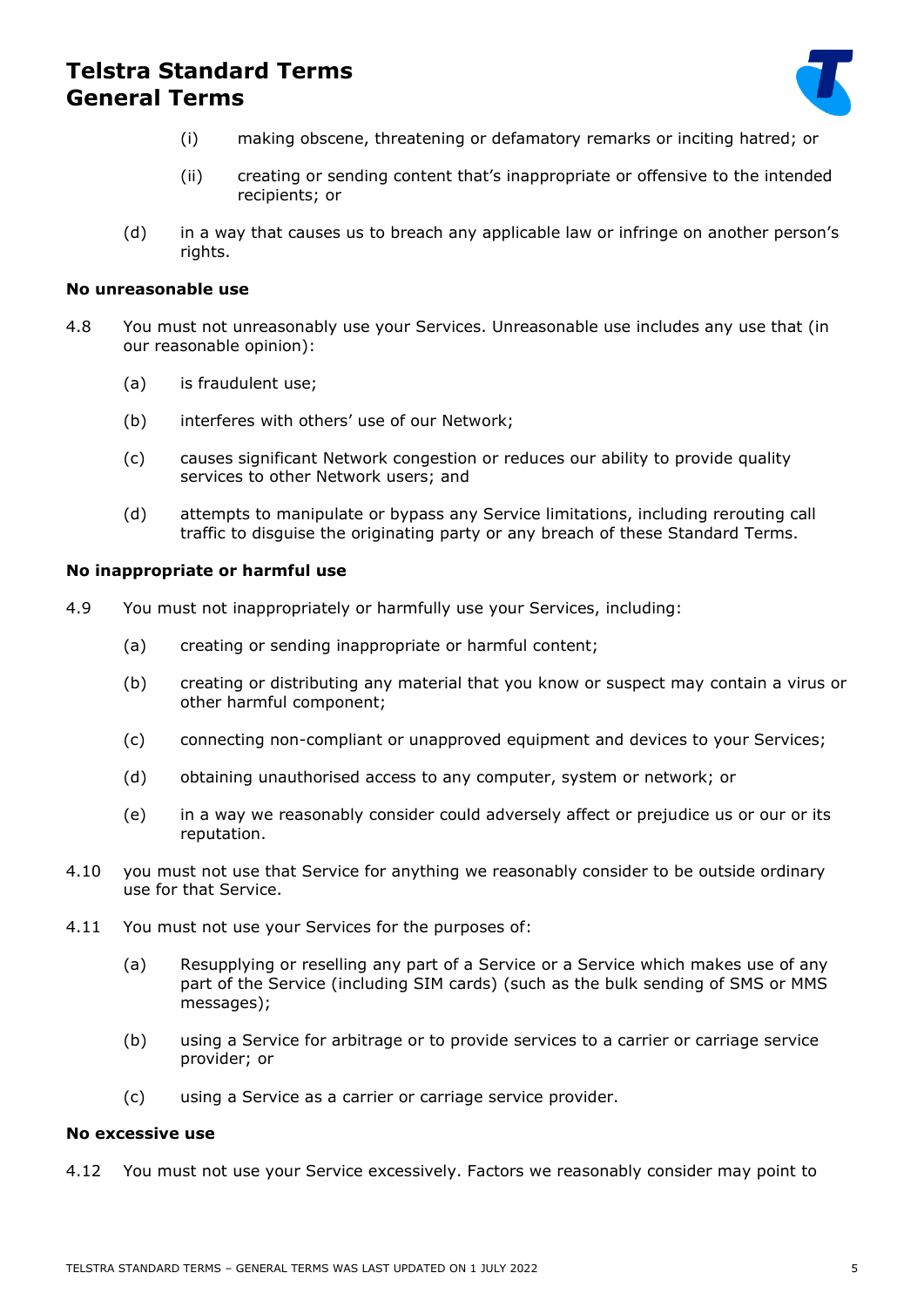

- (i) making obscene, threatening or defamatory remarks or inciting hatred; or
- (ii) creating or sending content that's inappropriate or offensive to the intended recipients; or
- (d) in a way that causes us to breach any applicable law or infringe on another person's rights.

### **No unreasonable use**

- 4.8 You must not unreasonably use your Services. Unreasonable use includes any use that (in our reasonable opinion):
	- (a) is fraudulent use;
	- (b) interferes with others' use of our Network;
	- (c) causes significant Network congestion or reduces our ability to provide quality services to other Network users; and
	- (d) attempts to manipulate or bypass any Service limitations, including rerouting call traffic to disguise the originating party or any breach of these Standard Terms.

#### **No inappropriate or harmful use**

- 4.9 You must not inappropriately or harmfully use your Services, including:
	- (a) creating or sending inappropriate or harmful content;
	- (b) creating or distributing any material that you know or suspect may contain a virus or other harmful component;
	- (c) connecting non-compliant or unapproved equipment and devices to your Services;
	- (d) obtaining unauthorised access to any computer, system or network; or
	- (e) in a way we reasonably consider could adversely affect or prejudice us or our or its reputation.
- 4.10 you must not use that Service for anything we reasonably consider to be outside ordinary use for that Service.
- 4.11 You must not use your Services for the purposes of:
	- (a) Resupplying or reselling any part of a Service or a Service which makes use of any part of the Service (including SIM cards) (such as the bulk sending of SMS or MMS messages);
	- (b) using a Service for arbitrage or to provide services to a carrier or carriage service provider; or
	- (c) using a Service as a carrier or carriage service provider.

#### **No excessive use**

4.12 You must not use your Service excessively. Factors we reasonably consider may point to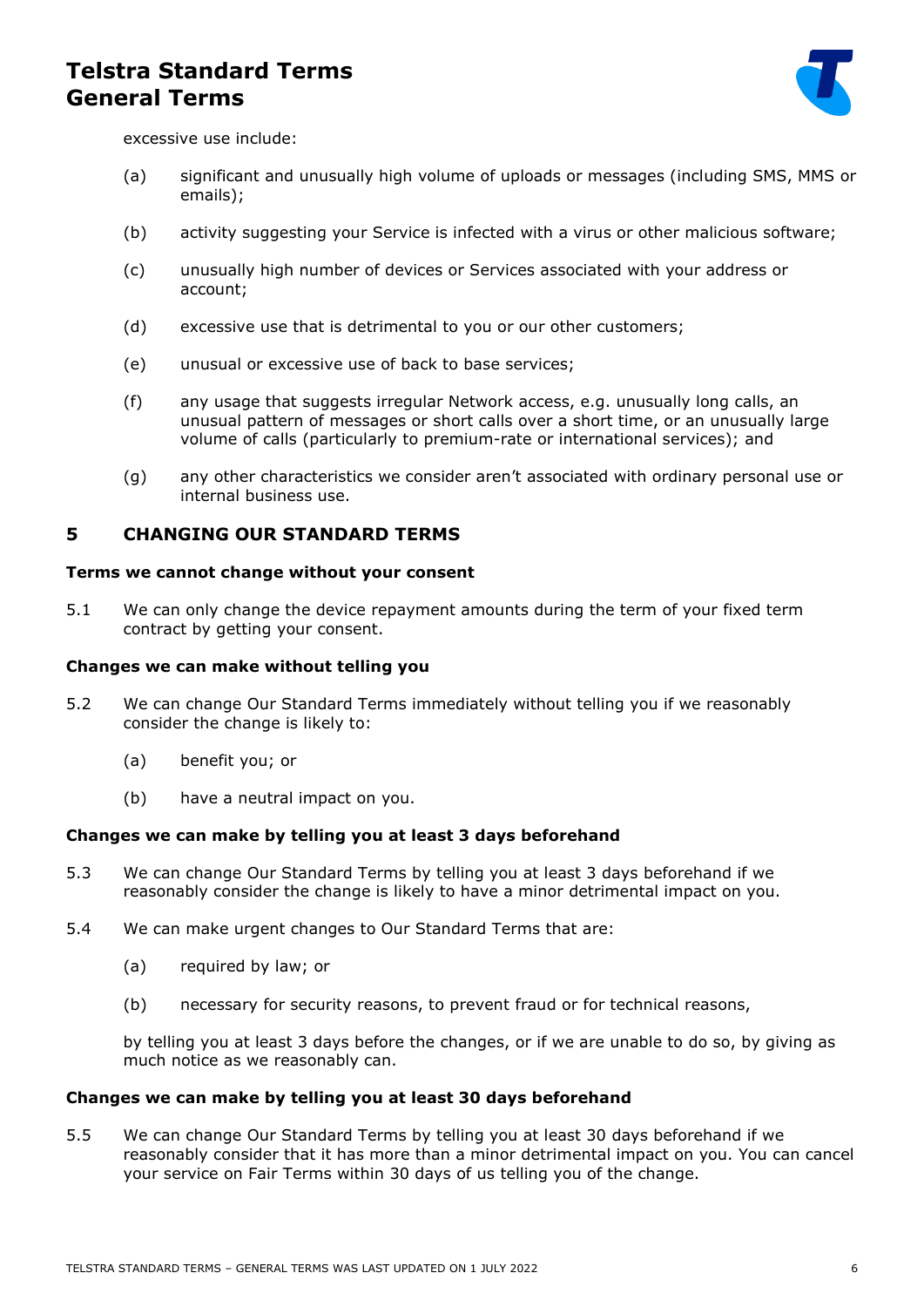

excessive use include:

- (a) significant and unusually high volume of uploads or messages (including SMS, MMS or emails);
- (b) activity suggesting your Service is infected with a virus or other malicious software;
- (c) unusually high number of devices or Services associated with your address or account;
- (d) excessive use that is detrimental to you or our other customers;
- (e) unusual or excessive use of back to base services;
- (f) any usage that suggests irregular Network access, e.g. unusually long calls, an unusual pattern of messages or short calls over a short time, or an unusually large volume of calls (particularly to premium-rate or international services); and
- (g) any other characteristics we consider aren't associated with ordinary personal use or internal business use.

### <span id="page-5-0"></span>**5 CHANGING OUR STANDARD TERMS**

#### **Terms we cannot change without your consent**

5.1 We can only change the device repayment amounts during the term of your fixed term contract by getting your consent.

#### **Changes we can make without telling you**

- 5.2 We can change Our Standard Terms immediately without telling you if we reasonably consider the change is likely to:
	- (a) benefit you; or
	- (b) have a neutral impact on you.

### **Changes we can make by telling you at least 3 days beforehand**

- 5.3 We can change Our Standard Terms by telling you at least 3 days beforehand if we reasonably consider the change is likely to have a minor detrimental impact on you.
- 5.4 We can make urgent changes to Our Standard Terms that are:
	- (a) required by law; or
	- (b) necessary for security reasons, to prevent fraud or for technical reasons,

by telling you at least 3 days before the changes, or if we are unable to do so, by giving as much notice as we reasonably can.

#### **Changes we can make by telling you at least 30 days beforehand**

5.5 We can change Our Standard Terms by telling you at least 30 days beforehand if we reasonably consider that it has more than a minor detrimental impact on you. You can cancel your service on Fair Terms within 30 days of us telling you of the change.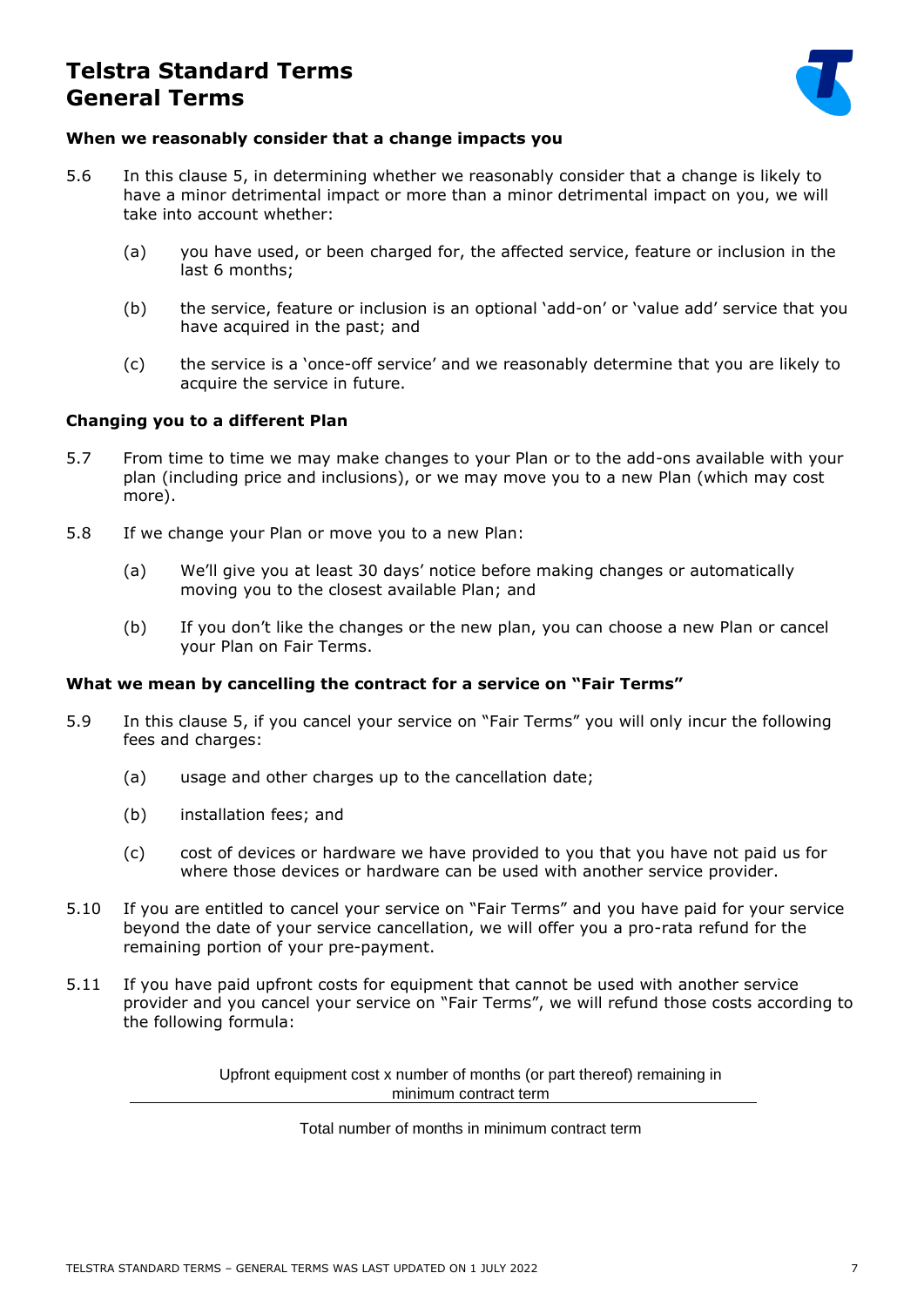

### **When we reasonably consider that a change impacts you**

- 5.6 In this clause [5,](#page-5-0) in determining whether we reasonably consider that a change is likely to have a minor detrimental impact or more than a minor detrimental impact on you, we will take into account whether:
	- (a) you have used, or been charged for, the affected service, feature or inclusion in the last 6 months;
	- (b) the service, feature or inclusion is an optional 'add-on' or 'value add' service that you have acquired in the past; and
	- (c) the service is a 'once-off service' and we reasonably determine that you are likely to acquire the service in future.

### **Changing you to a different Plan**

- 5.7 From time to time we may make changes to your Plan or to the add-ons available with your plan (including price and inclusions), or we may move you to a new Plan (which may cost more).
- 5.8 If we change your Plan or move you to a new Plan:
	- (a) We'll give you at least 30 days' notice before making changes or automatically moving you to the closest available Plan; and
	- (b) If you don't like the changes or the new plan, you can choose a new Plan or cancel your Plan on Fair Terms.

### **What we mean by cancelling the contract for a service on "Fair Terms"**

- 5.9 In this clause [5](#page-5-0), if you cancel your service on "Fair Terms" you will only incur the following fees and charges:
	- (a) usage and other charges up to the cancellation date;
	- (b) installation fees; and
	- (c) cost of devices or hardware we have provided to you that you have not paid us for where those devices or hardware can be used with another service provider.
- 5.10 If you are entitled to cancel your service on "Fair Terms" and you have paid for your service beyond the date of your service cancellation, we will offer you a pro-rata refund for the remaining portion of your pre-payment.
- 5.11 If you have paid upfront costs for equipment that cannot be used with another service provider and you cancel your service on "Fair Terms", we will refund those costs according to the following formula:

Upfront equipment cost x number of months (or part thereof) remaining in minimum contract term

Total number of months in minimum contract term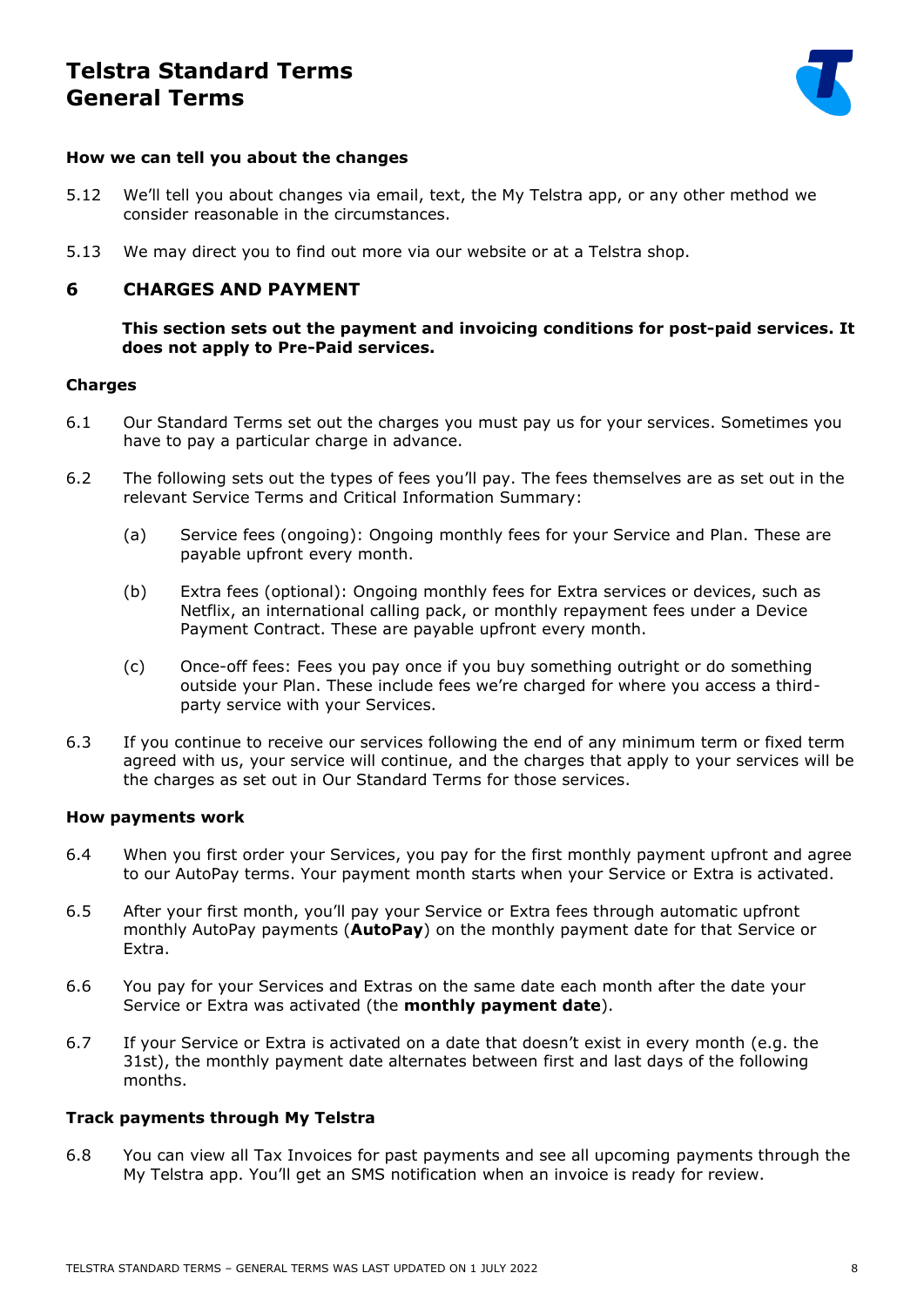

### **How we can tell you about the changes**

- 5.12 We'll tell you about changes via email, text, the My Telstra app, or any other method we consider reasonable in the circumstances.
- 5.13 We may direct you to find out more via our website or at a Telstra shop.

### **6 CHARGES AND PAYMENT**

**This section sets out the payment and invoicing conditions for post-paid services. It does not apply to Pre-Paid services.**

### **Charges**

- 6.1 Our Standard Terms set out the charges you must pay us for your services. Sometimes you have to pay a particular charge in advance.
- 6.2 The following sets out the types of fees you'll pay. The fees themselves are as set out in the relevant Service Terms and Critical Information Summary:
	- (a) Service fees (ongoing): Ongoing monthly fees for your Service and Plan. These are payable upfront every month.
	- (b) Extra fees (optional): Ongoing monthly fees for Extra services or devices, such as Netflix, an international calling pack, or monthly repayment fees under a Device Payment Contract. These are payable upfront every month.
	- (c) Once-off fees: Fees you pay once if you buy something outright or do something outside your Plan. These include fees we're charged for where you access a thirdparty service with your Services.
- 6.3 If you continue to receive our services following the end of any minimum term or fixed term agreed with us, your service will continue, and the charges that apply to your services will be the charges as set out in Our Standard Terms for those services.

### **How payments work**

- 6.4 When you first order your Services, you pay for the first monthly payment upfront and agree to our AutoPay terms. Your payment month starts when your Service or Extra is activated.
- 6.5 After your first month, you'll pay your Service or Extra fees through automatic upfront monthly AutoPay payments (**AutoPay**) on the monthly payment date for that Service or Extra.
- 6.6 You pay for your Services and Extras on the same date each month after the date your Service or Extra was activated (the **monthly payment date**).
- 6.7 If your Service or Extra is activated on a date that doesn't exist in every month (e.g. the 31st), the monthly payment date alternates between first and last days of the following months.

### **Track payments through My Telstra**

6.8 You can view all Tax Invoices for past payments and see all upcoming payments through the My Telstra app. You'll get an SMS notification when an invoice is ready for review.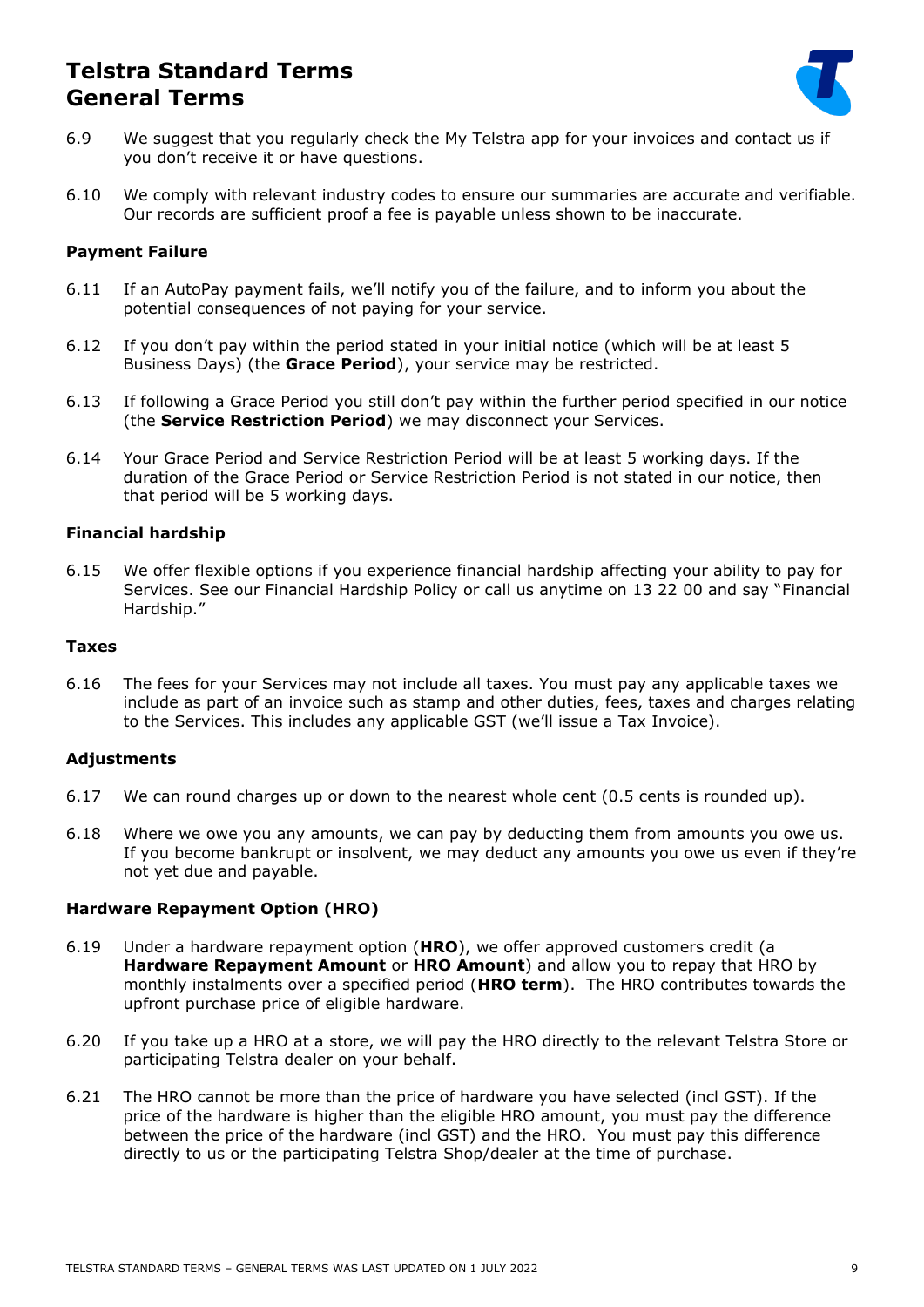

- 6.9 We suggest that you regularly check the My Telstra app for your invoices and contact us if you don't receive it or have questions.
- 6.10 We comply with relevant industry codes to ensure our summaries are accurate and verifiable. Our records are sufficient proof a fee is payable unless shown to be inaccurate.

### **Payment Failure**

- 6.11 If an AutoPay payment fails, we'll notify you of the failure, and to inform you about the potential consequences of not paying for your service.
- 6.12 If you don't pay within the period stated in your initial notice (which will be at least 5 Business Days) (the **Grace Period**), your service may be restricted.
- 6.13 If following a Grace Period you still don't pay within the further period specified in our notice (the **Service Restriction Period**) we may disconnect your Services.
- 6.14 Your Grace Period and Service Restriction Period will be at least 5 working days. If the duration of the Grace Period or Service Restriction Period is not stated in our notice, then that period will be 5 working days.

### **Financial hardship**

6.15 We offer flexible options if you experience financial hardship affecting your ability to pay for Services. See our Financial Hardship Policy or call us anytime on 13 22 00 and say "Financial Hardship."

#### **Taxes**

6.16 The fees for your Services may not include all taxes. You must pay any applicable taxes we include as part of an invoice such as stamp and other duties, fees, taxes and charges relating to the Services. This includes any applicable GST (we'll issue a Tax Invoice).

### **Adjustments**

- 6.17 We can round charges up or down to the nearest whole cent (0.5 cents is rounded up).
- 6.18 Where we owe you any amounts, we can pay by deducting them from amounts you owe us. If you become bankrupt or insolvent, we may deduct any amounts you owe us even if they're not yet due and payable.

### **Hardware Repayment Option (HRO)**

- 6.19 Under a hardware repayment option (**HRO**), we offer approved customers credit (a **Hardware Repayment Amount** or **HRO Amount**) and allow you to repay that HRO by monthly instalments over a specified period (**HRO term**). The HRO contributes towards the upfront purchase price of eligible hardware.
- 6.20 If you take up a HRO at a store, we will pay the HRO directly to the relevant Telstra Store or participating Telstra dealer on your behalf.
- 6.21 The HRO cannot be more than the price of hardware you have selected (incl GST). If the price of the hardware is higher than the eligible HRO amount, you must pay the difference between the price of the hardware (incl GST) and the HRO. You must pay this difference directly to us or the participating Telstra Shop/dealer at the time of purchase.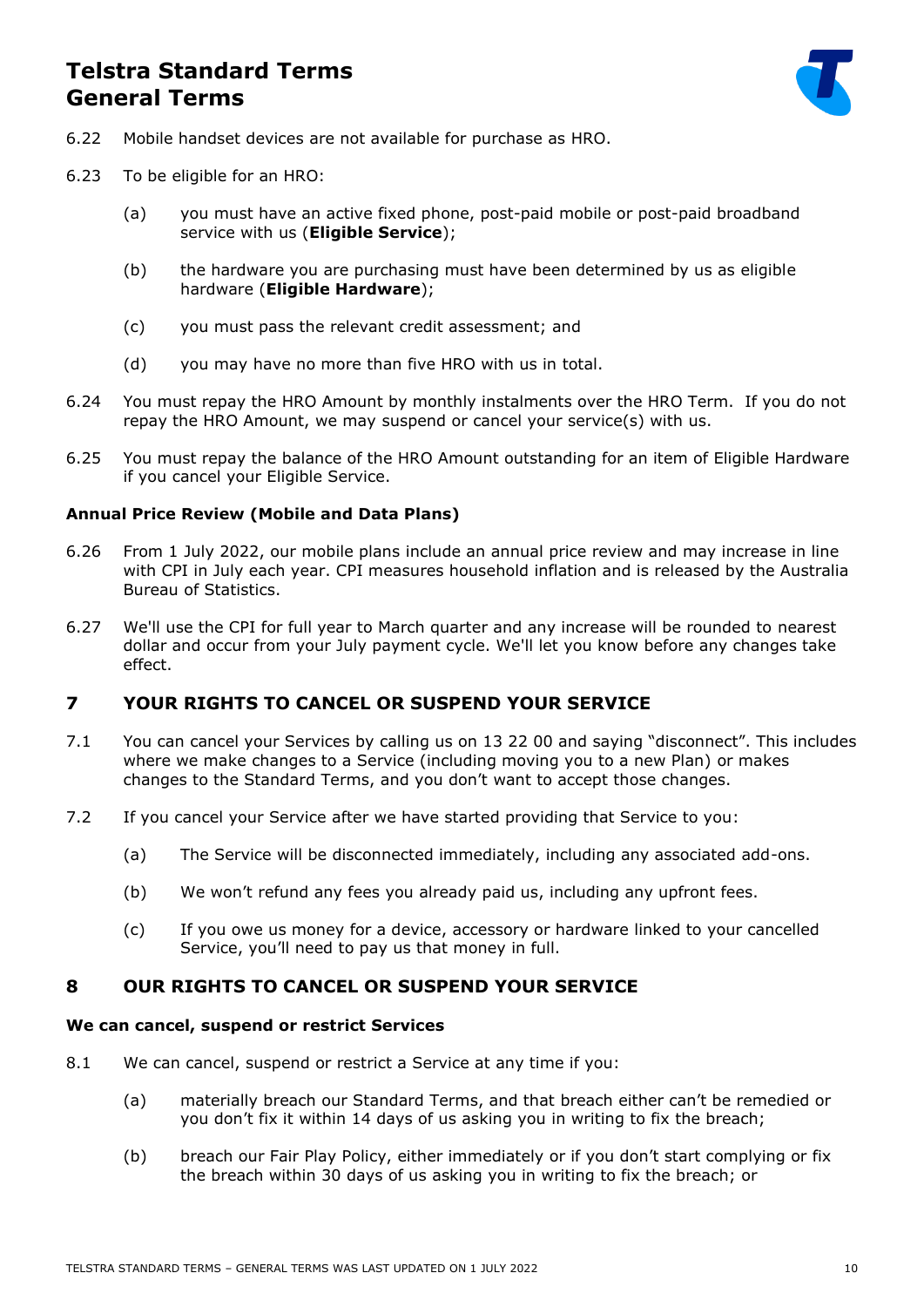

- 6.22 Mobile handset devices are not available for purchase as HRO.
- 6.23 To be eligible for an HRO:
	- (a) you must have an active fixed phone, post-paid mobile or post-paid broadband service with us (**Eligible Service**);
	- (b) the hardware you are purchasing must have been determined by us as eligible hardware (**Eligible Hardware**);
	- (c) you must pass the relevant credit assessment; and
	- (d) you may have no more than five HRO with us in total.
- 6.24 You must repay the HRO Amount by monthly instalments over the HRO Term. If you do not repay the HRO Amount, we may suspend or cancel your service(s) with us.
- 6.25 You must repay the balance of the HRO Amount outstanding for an item of Eligible Hardware if you cancel your Eligible Service.

### **Annual Price Review (Mobile and Data Plans)**

- 6.26 From 1 July 2022, our mobile plans include an annual price review and may increase in line with CPI in July each year. CPI measures household inflation and is released by the Australia Bureau of Statistics.
- 6.27 We'll use the CPI for full year to March quarter and any increase will be rounded to nearest dollar and occur from your July payment cycle. We'll let you know before any changes take effect.

### **7 YOUR RIGHTS TO CANCEL OR SUSPEND YOUR SERVICE**

- 7.1 You can cancel your Services by calling us on 13 22 00 and saying "disconnect". This includes where we make changes to a Service (including moving you to a new Plan) or makes changes to the Standard Terms, and you don't want to accept those changes.
- 7.2 If you cancel your Service after we have started providing that Service to you:
	- (a) The Service will be disconnected immediately, including any associated add-ons.
	- (b) We won't refund any fees you already paid us, including any upfront fees.
	- (c) If you owe us money for a device, accessory or hardware linked to your cancelled Service, you'll need to pay us that money in full.

### **8 OUR RIGHTS TO CANCEL OR SUSPEND YOUR SERVICE**

### **We can cancel, suspend or restrict Services**

- 8.1 We can cancel, suspend or restrict a Service at any time if you:
	- (a) materially breach our Standard Terms, and that breach either can't be remedied or you don't fix it within 14 days of us asking you in writing to fix the breach;
	- (b) breach our Fair Play Policy, either immediately or if you don't start complying or fix the breach within 30 days of us asking you in writing to fix the breach; or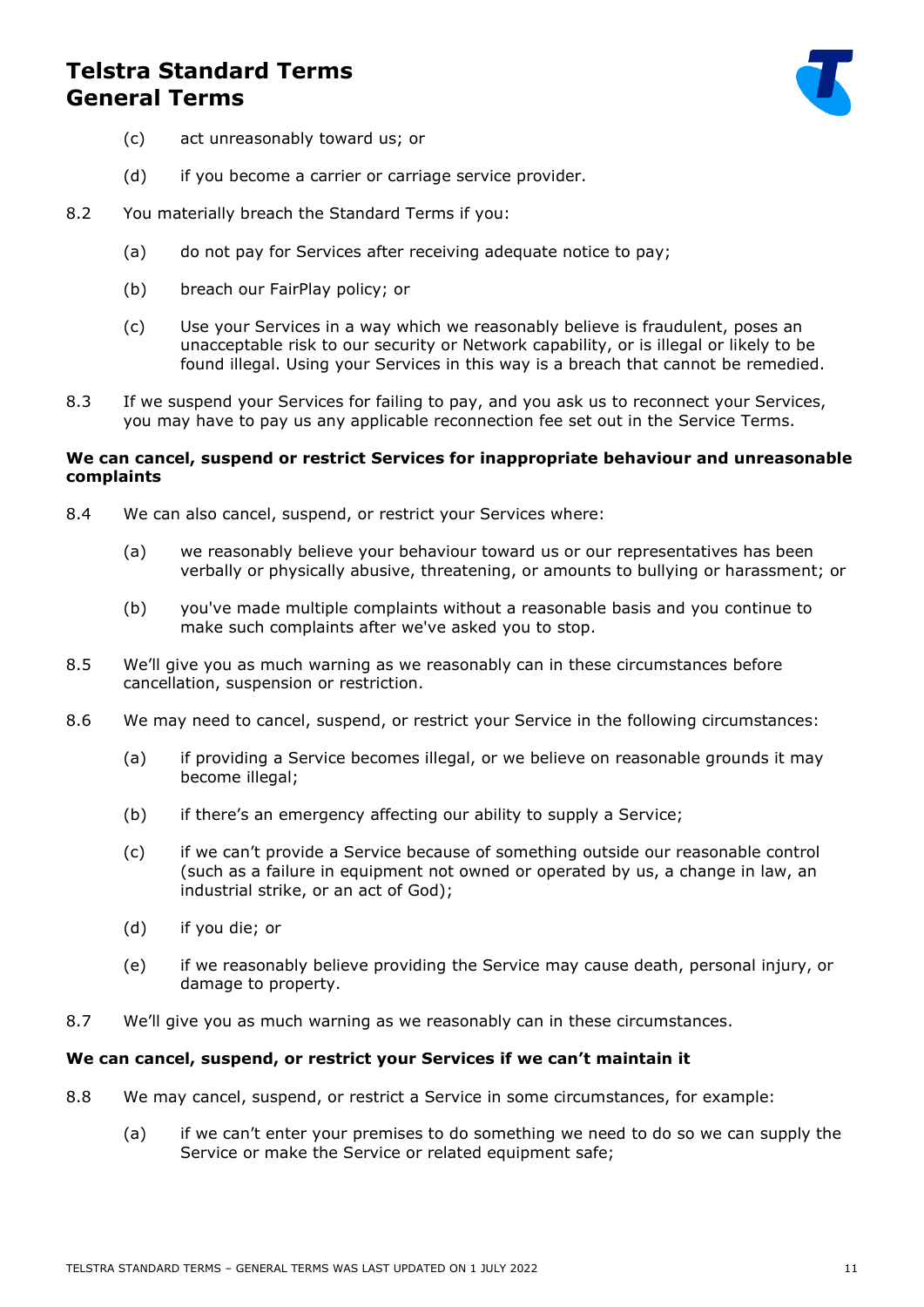

- (c) act unreasonably toward us; or
- (d) if you become a carrier or carriage service provider.
- 8.2 You materially breach the Standard Terms if you:
	- (a) do not pay for Services after receiving adequate notice to pay;
	- (b) breach our FairPlay policy; or
	- (c) Use your Services in a way which we reasonably believe is fraudulent, poses an unacceptable risk to our security or Network capability, or is illegal or likely to be found illegal. Using your Services in this way is a breach that cannot be remedied.
- 8.3 If we suspend your Services for failing to pay, and you ask us to reconnect your Services, you may have to pay us any applicable reconnection fee set out in the Service Terms.

### **We can cancel, suspend or restrict Services for inappropriate behaviour and unreasonable complaints**

- 8.4 We can also cancel, suspend, or restrict your Services where:
	- (a) we reasonably believe your behaviour toward us or our representatives has been verbally or physically abusive, threatening, or amounts to bullying or harassment; or
	- (b) you've made multiple complaints without a reasonable basis and you continue to make such complaints after we've asked you to stop.
- 8.5 We'll give you as much warning as we reasonably can in these circumstances before cancellation, suspension or restriction.
- 8.6 We may need to cancel, suspend, or restrict your Service in the following circumstances:
	- (a) if providing a Service becomes illegal, or we believe on reasonable grounds it may become illegal;
	- (b) if there's an emergency affecting our ability to supply a Service;
	- (c) if we can't provide a Service because of something outside our reasonable control (such as a failure in equipment not owned or operated by us, a change in law, an industrial strike, or an act of God);
	- (d) if you die; or
	- (e) if we reasonably believe providing the Service may cause death, personal injury, or damage to property.
- 8.7 We'll give you as much warning as we reasonably can in these circumstances.

### **We can cancel, suspend, or restrict your Services if we can't maintain it**

- 8.8 We may cancel, suspend, or restrict a Service in some circumstances, for example:
	- (a) if we can't enter your premises to do something we need to do so we can supply the Service or make the Service or related equipment safe;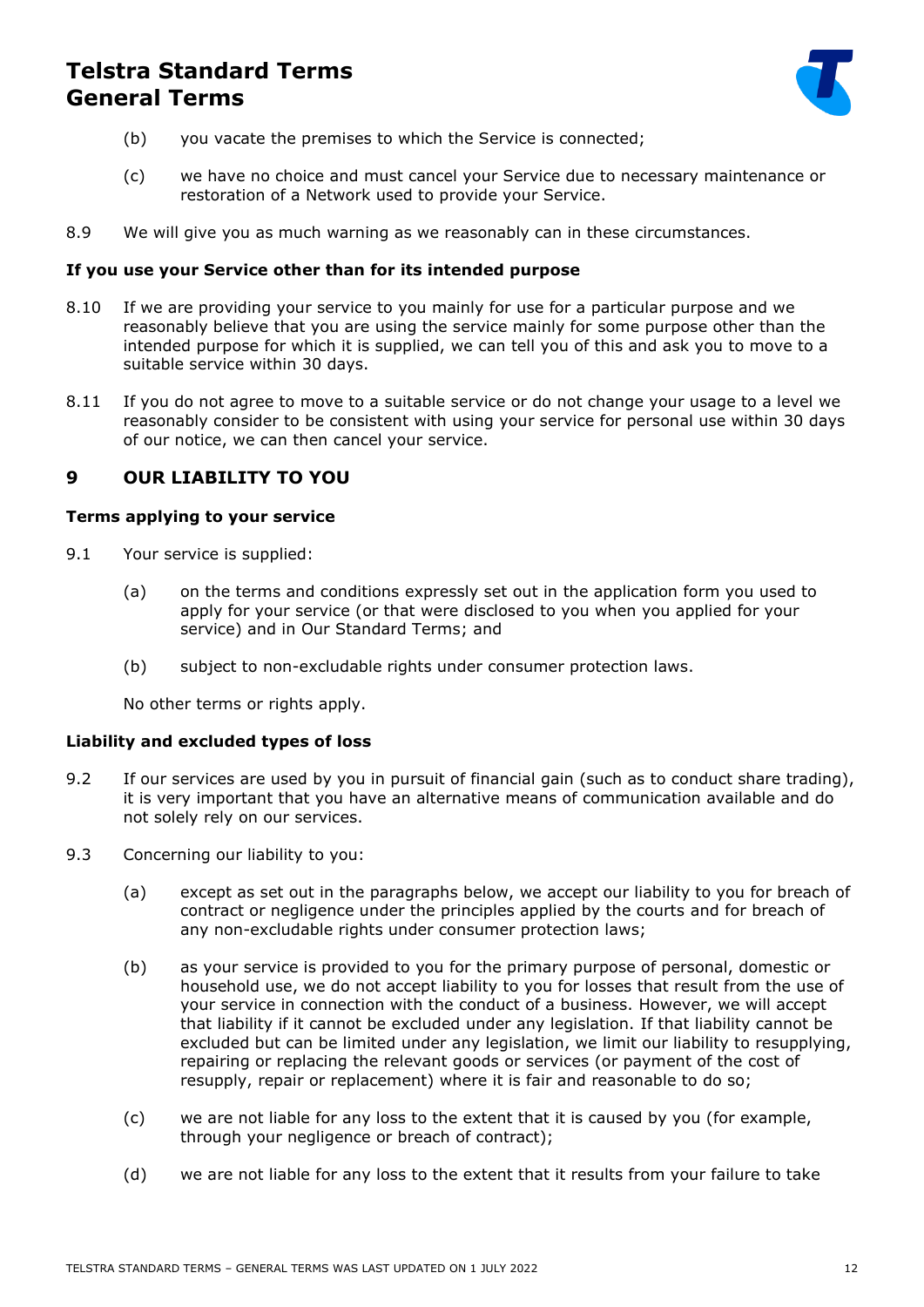

- (b) you vacate the premises to which the Service is connected;
- (c) we have no choice and must cancel your Service due to necessary maintenance or restoration of a Network used to provide your Service.
- 8.9 We will give you as much warning as we reasonably can in these circumstances.

### **If you use your Service other than for its intended purpose**

- 8.10 If we are providing your service to you mainly for use for a particular purpose and we reasonably believe that you are using the service mainly for some purpose other than the intended purpose for which it is supplied, we can tell you of this and ask you to move to a suitable service within 30 days.
- 8.11 If you do not agree to move to a suitable service or do not change your usage to a level we reasonably consider to be consistent with using your service for personal use within 30 days of our notice, we can then cancel your service.

### **9 OUR LIABILITY TO YOU**

### **Terms applying to your service**

- 9.1 Your service is supplied:
	- (a) on the terms and conditions expressly set out in the application form you used to apply for your service (or that were disclosed to you when you applied for your service) and in Our Standard Terms; and
	- (b) subject to non-excludable rights under consumer protection laws.

No other terms or rights apply.

### **Liability and excluded types of loss**

- 9.2 If our services are used by you in pursuit of financial gain (such as to conduct share trading), it is very important that you have an alternative means of communication available and do not solely rely on our services.
- <span id="page-11-0"></span>9.3 Concerning our liability to you:
	- (a) except as set out in the paragraphs below, we accept our liability to you for breach of contract or negligence under the principles applied by the courts and for breach of any non-excludable rights under consumer protection laws;
	- (b) as your service is provided to you for the primary purpose of personal, domestic or household use, we do not accept liability to you for losses that result from the use of your service in connection with the conduct of a business. However, we will accept that liability if it cannot be excluded under any legislation. If that liability cannot be excluded but can be limited under any legislation, we limit our liability to resupplying, repairing or replacing the relevant goods or services (or payment of the cost of resupply, repair or replacement) where it is fair and reasonable to do so;
	- (c) we are not liable for any loss to the extent that it is caused by you (for example, through your negligence or breach of contract);
	- (d) we are not liable for any loss to the extent that it results from your failure to take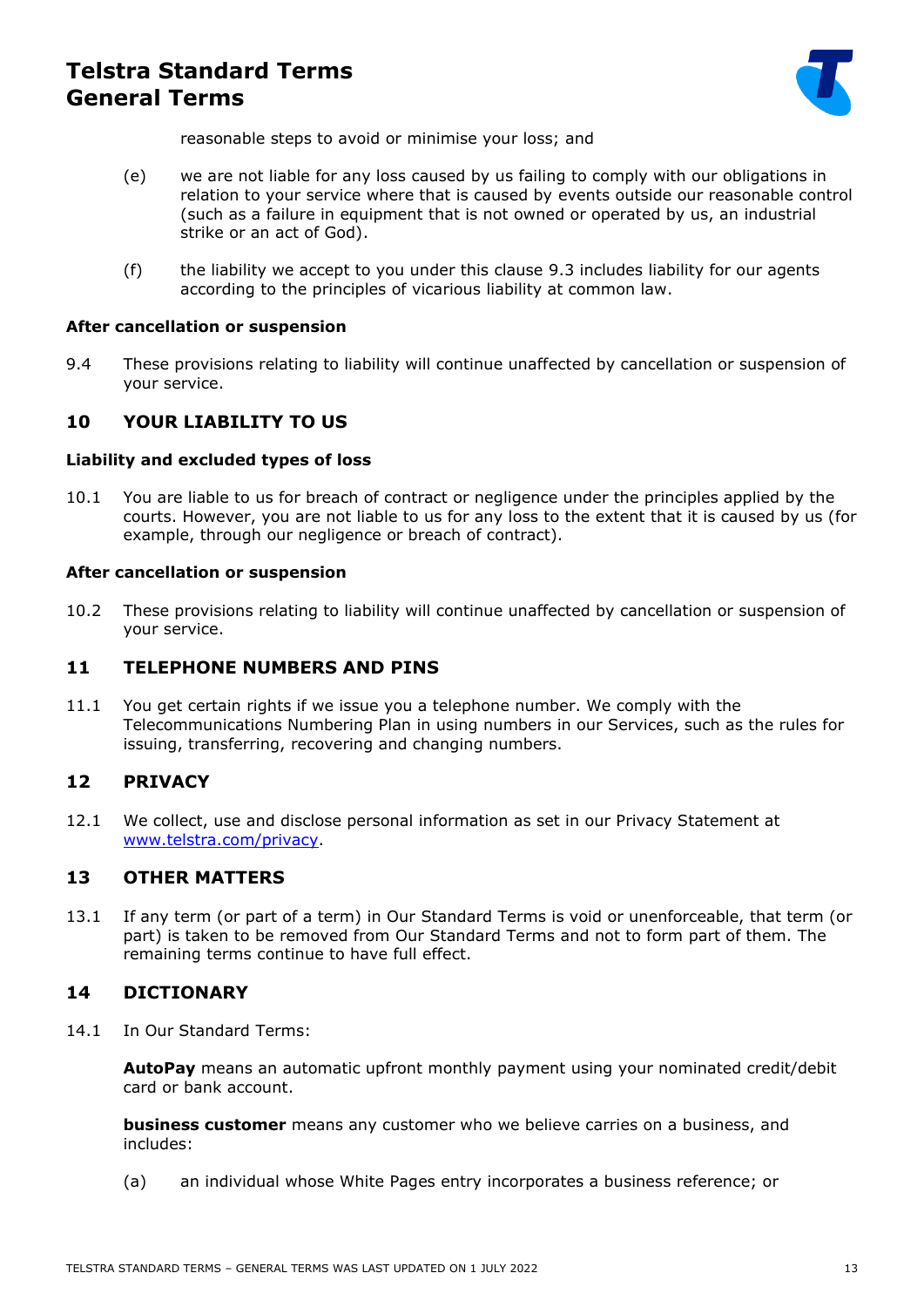

reasonable steps to avoid or minimise your loss; and

- (e) we are not liable for any loss caused by us failing to comply with our obligations in relation to your service where that is caused by events outside our reasonable control (such as a failure in equipment that is not owned or operated by us, an industrial strike or an act of God).
- (f) the liability we accept to you under this clause [9.3](#page-11-0) includes liability for our agents according to the principles of vicarious liability at common law.

#### **After cancellation or suspension**

9.4 These provisions relating to liability will continue unaffected by cancellation or suspension of your service.

### **10 YOUR LIABILITY TO US**

#### **Liability and excluded types of loss**

10.1 You are liable to us for breach of contract or negligence under the principles applied by the courts. However, you are not liable to us for any loss to the extent that it is caused by us (for example, through our negligence or breach of contract).

#### **After cancellation or suspension**

10.2 These provisions relating to liability will continue unaffected by cancellation or suspension of your service.

### **11 TELEPHONE NUMBERS AND PINS**

11.1 You get certain rights if we issue you a telephone number. We comply with the Telecommunications Numbering Plan in using numbers in our Services, such as the rules for issuing, transferring, recovering and changing numbers.

### **12 PRIVACY**

12.1 We collect, use and disclose personal information as set in our Privacy Statement at [www.telstra.com/privacy.](http://www.telstra.com/privacy)

### **13 OTHER MATTERS**

13.1 If any term (or part of a term) in Our Standard Terms is void or unenforceable, that term (or part) is taken to be removed from Our Standard Terms and not to form part of them. The remaining terms continue to have full effect.

### **14 DICTIONARY**

14.1 In Our Standard Terms:

**AutoPay** means an automatic upfront monthly payment using your nominated credit/debit card or bank account.

**business customer** means any customer who we believe carries on a business, and includes:

(a) an individual whose White Pages entry incorporates a business reference; or